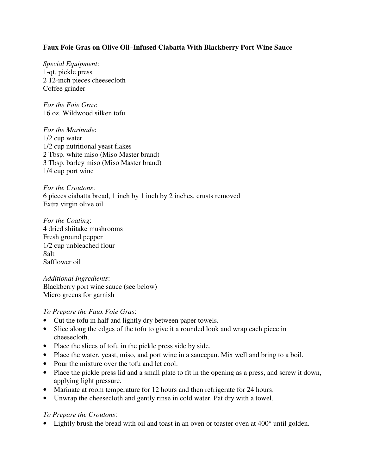## **Faux Foie Gras on Olive Oil–Infused Ciabatta With Blackberry Port Wine Sauce**

*Special Equipment*: 1-qt. pickle press 2 12-inch pieces cheesecloth Coffee grinder

*For the Foie Gras*: 16 oz. Wildwood silken tofu

*For the Marinade*: 1/2 cup water 1/2 cup nutritional yeast flakes 2 Tbsp. white miso (Miso Master brand) 3 Tbsp. barley miso (Miso Master brand) 1/4 cup port wine

*For the Croutons*: 6 pieces ciabatta bread, 1 inch by 1 inch by 2 inches, crusts removed Extra virgin olive oil

*For the Coating*: 4 dried shiitake mushrooms Fresh ground pepper 1/2 cup unbleached flour Salt Safflower oil

*Additional Ingredients*: Blackberry port wine sauce (see below) Micro greens for garnish

#### *To Prepare the Faux Foie Gras*:

- Cut the tofu in half and lightly dry between paper towels.
- Slice along the edges of the tofu to give it a rounded look and wrap each piece in cheesecloth.
- Place the slices of tofu in the pickle press side by side.
- Place the water, yeast, miso, and port wine in a saucepan. Mix well and bring to a boil.
- Pour the mixture over the tofu and let cool.
- Place the pickle press lid and a small plate to fit in the opening as a press, and screw it down, applying light pressure.
- Marinate at room temperature for 12 hours and then refrigerate for 24 hours.
- Unwrap the cheesecloth and gently rinse in cold water. Pat dry with a towel.

#### *To Prepare the Croutons*:

• Lightly brush the bread with oil and toast in an oven or toaster oven at 400° until golden.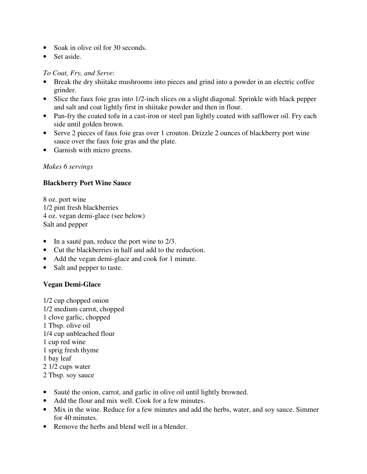- Soak in olive oil for 30 seconds.
- Set aside.

### *To Coat, Fry, and Serve*:

- Break the dry shiitake mushrooms into pieces and grind into a powder in an electric coffee grinder.
- Slice the faux foie gras into 1/2-inch slices on a slight diagonal. Sprinkle with black pepper and salt and coat lightly first in shiitake powder and then in flour.
- Pan-fry the coated tofu in a cast-iron or steel pan lightly coated with safflower oil. Fry each side until golden brown.
- Serve 2 pieces of faux foie gras over 1 crouton. Drizzle 2 ounces of blackberry port wine sauce over the faux foie gras and the plate.
- Garnish with micro greens.

### *Makes 6 servings*

### **Blackberry Port Wine Sauce**

8 oz. port wine 1/2 pint fresh blackberries 4 oz. vegan demi-glace (see below) Salt and pepper

- In a sauté pan, reduce the port wine to 2/3.
- Cut the blackberries in half and add to the reduction.
- Add the vegan demi-glace and cook for 1 minute.
- Salt and pepper to taste.

# **Vegan Demi-Glace**

- 1/2 cup chopped onion 1/2 medium carrot, chopped 1 clove garlic, chopped 1 Tbsp. olive oil 1/4 cup unbleached flour 1 cup red wine 1 sprig fresh thyme 1 bay leaf 2 1/2 cups water 2 Tbsp. soy sauce
- Sauté the onion, carrot, and garlic in olive oil until lightly browned.
- Add the flour and mix well. Cook for a few minutes.
- Mix in the wine. Reduce for a few minutes and add the herbs, water, and soy sauce. Simmer for 40 minutes.
- Remove the herbs and blend well in a blender.